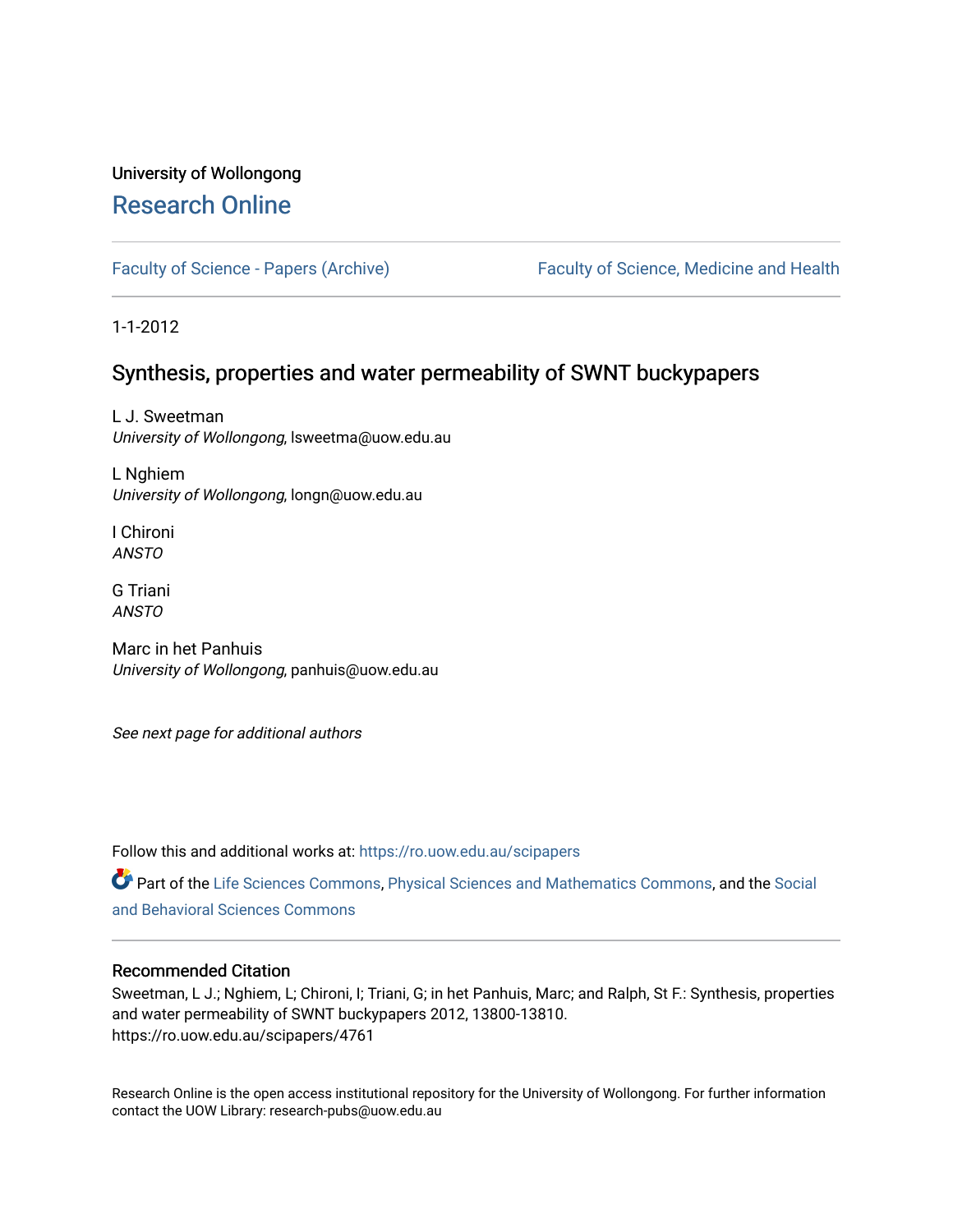# University of Wollongong [Research Online](https://ro.uow.edu.au/)

[Faculty of Science - Papers \(Archive\)](https://ro.uow.edu.au/scipapers) Faculty of Science, Medicine and Health

1-1-2012

# Synthesis, properties and water permeability of SWNT buckypapers

L J. Sweetman University of Wollongong, lsweetma@uow.edu.au

L Nghiem University of Wollongong, longn@uow.edu.au

I Chironi ANSTO

G Triani ANSTO

Marc in het Panhuis University of Wollongong, panhuis@uow.edu.au

See next page for additional authors

Follow this and additional works at: [https://ro.uow.edu.au/scipapers](https://ro.uow.edu.au/scipapers?utm_source=ro.uow.edu.au%2Fscipapers%2F4761&utm_medium=PDF&utm_campaign=PDFCoverPages)

Part of the [Life Sciences Commons,](http://network.bepress.com/hgg/discipline/1016?utm_source=ro.uow.edu.au%2Fscipapers%2F4761&utm_medium=PDF&utm_campaign=PDFCoverPages) [Physical Sciences and Mathematics Commons,](http://network.bepress.com/hgg/discipline/114?utm_source=ro.uow.edu.au%2Fscipapers%2F4761&utm_medium=PDF&utm_campaign=PDFCoverPages) and the [Social](http://network.bepress.com/hgg/discipline/316?utm_source=ro.uow.edu.au%2Fscipapers%2F4761&utm_medium=PDF&utm_campaign=PDFCoverPages)  [and Behavioral Sciences Commons](http://network.bepress.com/hgg/discipline/316?utm_source=ro.uow.edu.au%2Fscipapers%2F4761&utm_medium=PDF&utm_campaign=PDFCoverPages) 

### Recommended Citation

Sweetman, L J.; Nghiem, L; Chironi, I; Triani, G; in het Panhuis, Marc; and Ralph, St F.: Synthesis, properties and water permeability of SWNT buckypapers 2012, 13800-13810. https://ro.uow.edu.au/scipapers/4761

Research Online is the open access institutional repository for the University of Wollongong. For further information contact the UOW Library: research-pubs@uow.edu.au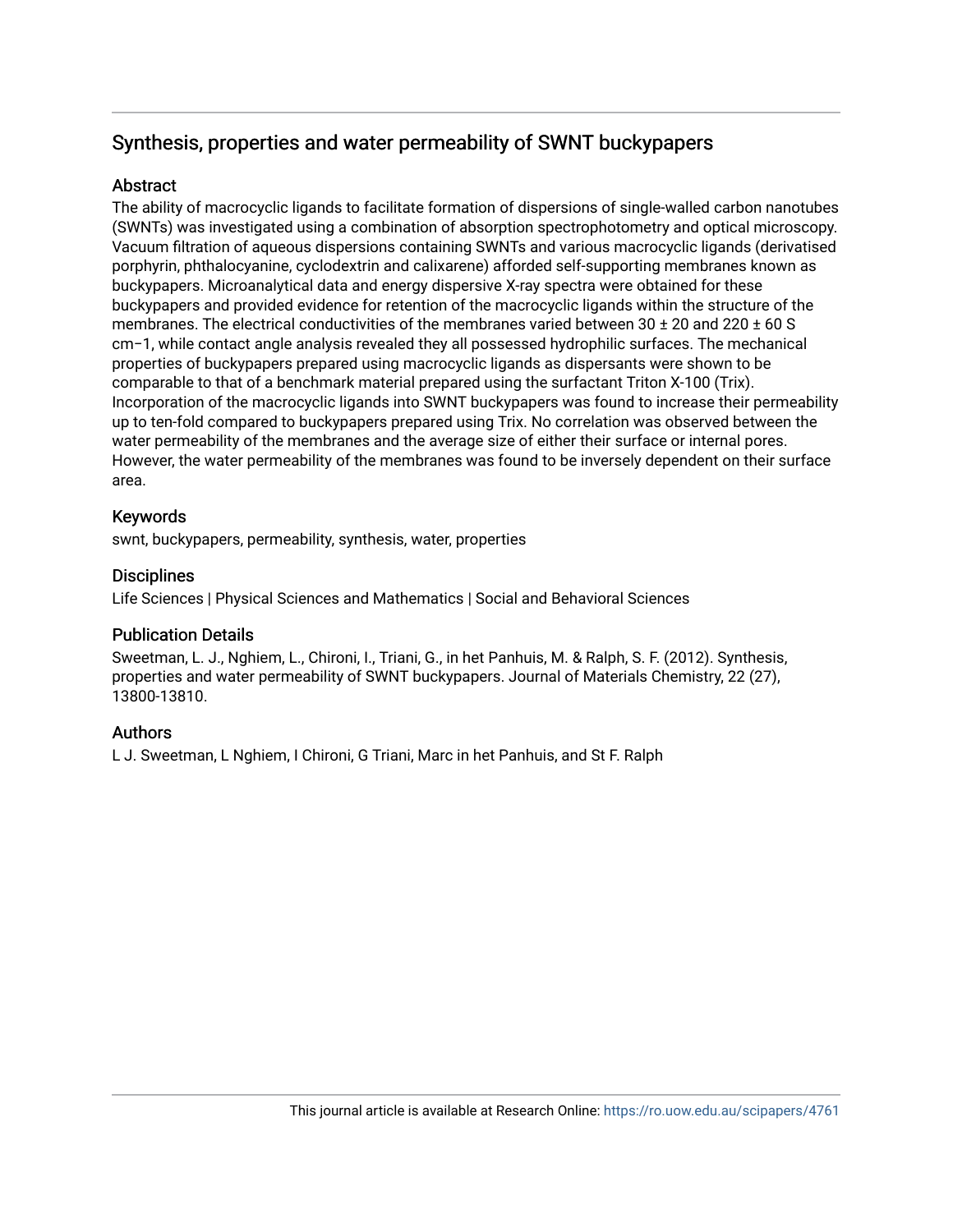# Synthesis, properties and water permeability of SWNT buckypapers

## **Abstract**

The ability of macrocyclic ligands to facilitate formation of dispersions of single-walled carbon nanotubes (SWNTs) was investigated using a combination of absorption spectrophotometry and optical microscopy. Vacuum filtration of aqueous dispersions containing SWNTs and various macrocyclic ligands (derivatised porphyrin, phthalocyanine, cyclodextrin and calixarene) afforded self-supporting membranes known as buckypapers. Microanalytical data and energy dispersive X-ray spectra were obtained for these buckypapers and provided evidence for retention of the macrocyclic ligands within the structure of the membranes. The electrical conductivities of the membranes varied between  $30 \pm 20$  and  $220 \pm 60$  S cm−1, while contact angle analysis revealed they all possessed hydrophilic surfaces. The mechanical properties of buckypapers prepared using macrocyclic ligands as dispersants were shown to be comparable to that of a benchmark material prepared using the surfactant Triton X-100 (Trix). Incorporation of the macrocyclic ligands into SWNT buckypapers was found to increase their permeability up to ten-fold compared to buckypapers prepared using Trix. No correlation was observed between the water permeability of the membranes and the average size of either their surface or internal pores. However, the water permeability of the membranes was found to be inversely dependent on their surface area.

# Keywords

swnt, buckypapers, permeability, synthesis, water, properties

# **Disciplines**

Life Sciences | Physical Sciences and Mathematics | Social and Behavioral Sciences

## Publication Details

Sweetman, L. J., Nghiem, L., Chironi, I., Triani, G., in het Panhuis, M. & Ralph, S. F. (2012). Synthesis, properties and water permeability of SWNT buckypapers. Journal of Materials Chemistry, 22 (27), 13800-13810.

## Authors

L J. Sweetman, L Nghiem, I Chironi, G Triani, Marc in het Panhuis, and St F. Ralph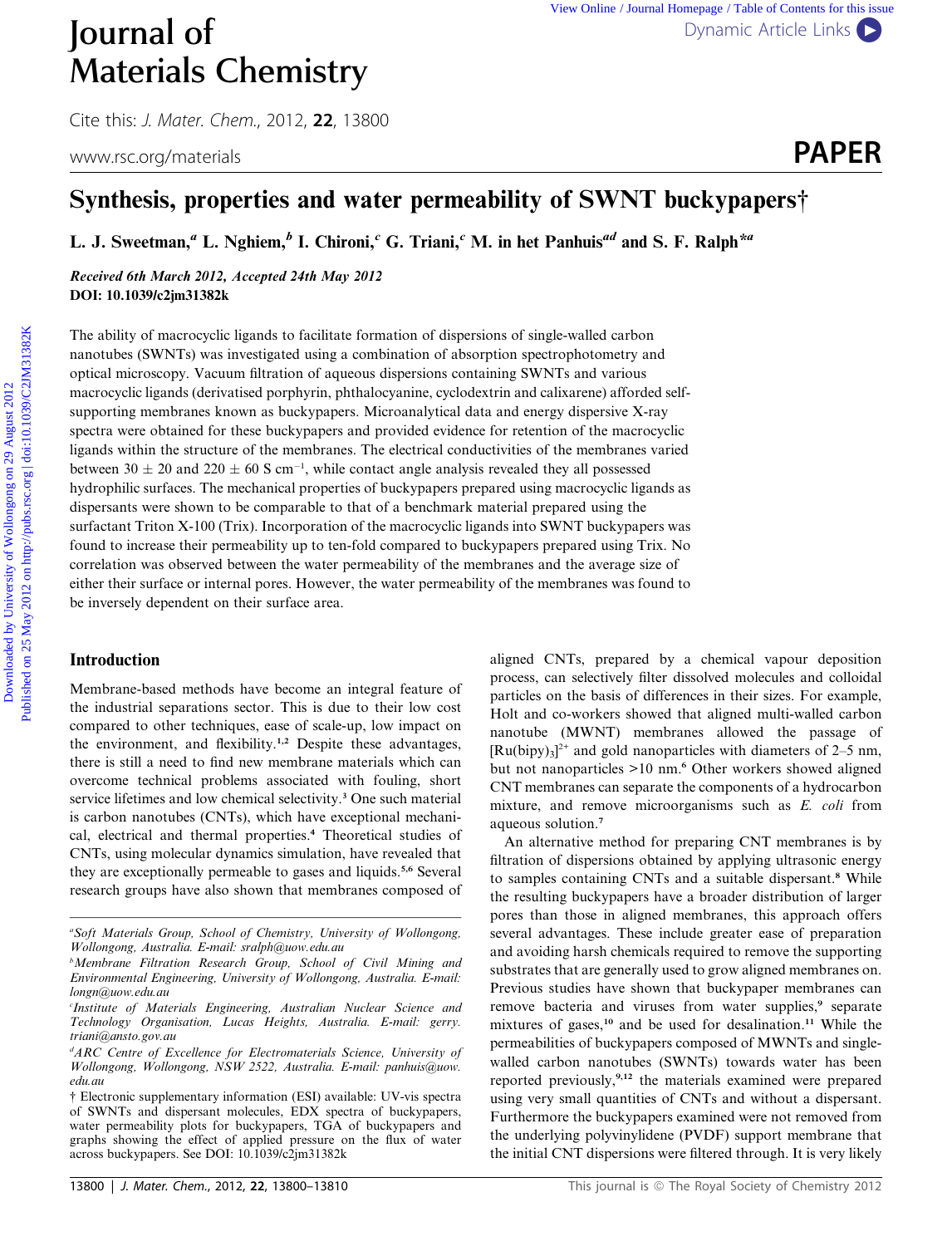# **Journal of** [Dynamic Article Links](http://dx.doi.org/10.1039/c2jm31382k) Materials Chemistry

Cite this: J. Mater. Chem., 2012, <sup>22</sup>, 13800



# Synthesis, properties and water permeability of SWNT buckypapers†

L. J. Sweetman,<sup>a</sup> L. Nghiem,<sup>b</sup> I. Chironi,<sup>c</sup> G. Triani,<sup>c</sup> M. in het Panhuis<sup>ad</sup> and S. F. Ralph<sup>\*a</sup>

Received 6th March 2012, Accepted 24th May 2012 DOI: 10.1039/c2jm31382k

The ability of macrocyclic ligands to facilitate formation of dispersions of single-walled carbon nanotubes (SWNTs) was investigated using a combination of absorption spectrophotometry and optical microscopy. Vacuum filtration of aqueous dispersions containing SWNTs and various macrocyclic ligands (derivatised porphyrin, phthalocyanine, cyclodextrin and calixarene) afforded selfsupporting membranes known as buckypapers. Microanalytical data and energy dispersive X-ray spectra were obtained for these buckypapers and provided evidence for retention of the macrocyclic ligands within the structure of the membranes. The electrical conductivities of the membranes varied between  $30 \pm 20$  and  $220 \pm 60$  S cm<sup>-1</sup>, while contact angle analysis revealed they all possessed hydrophilic surfaces. The mechanical properties of buckypapers prepared using macrocyclic ligands as dispersants were shown to be comparable to that of a benchmark material prepared using the surfactant Triton X-100 (Trix). Incorporation of the macrocyclic ligands into SWNT buckypapers was found to increase their permeability up to ten-fold compared to buckypapers prepared using Trix. No correlation was observed between the water permeability of the membranes and the average size of either their surface or internal pores. However, the water permeability of the membranes was found to be inversely dependent on their surface area. **JOUTNE 1 of** Worldow Elementary Download Expansion Contents For the Contents of Contents Contents (Chern, 2012, 22, 13800<br>
Someware.com/materials **Expansion Content Content Content Content Content Content Content Conte** 

#### Introduction

Membrane-based methods have become an integral feature of the industrial separations sector. This is due to their low cost compared to other techniques, ease of scale-up, low impact on the environment, and flexibility.<sup>1,2</sup> Despite these advantages, there is still a need to find new membrane materials which can overcome technical problems associated with fouling, short service lifetimes and low chemical selectivity.<sup>3</sup> One such material is carbon nanotubes (CNTs), which have exceptional mechanical, electrical and thermal properties.<sup>4</sup> Theoretical studies of CNTs, using molecular dynamics simulation, have revealed that they are exceptionally permeable to gases and liquids.<sup>5,6</sup> Several research groups have also shown that membranes composed of

aligned CNTs, prepared by a chemical vapour deposition process, can selectively filter dissolved molecules and colloidal particles on the basis of differences in their sizes. For example, Holt and co-workers showed that aligned multi-walled carbon nanotube (MWNT) membranes allowed the passage of  $[Ru(bipy)_3]^2$ <sup>+</sup> and gold nanoparticles with diameters of 2–5 nm, but not nanoparticles >10 nm.<sup>6</sup> Other workers showed aligned CNT membranes can separate the components of a hydrocarbon mixture, and remove microorganisms such as E. coli from aqueous solution.<sup>7</sup>

An alternative method for preparing CNT membranes is by filtration of dispersions obtained by applying ultrasonic energy to samples containing CNTs and a suitable dispersant.<sup>8</sup> While the resulting buckypapers have a broader distribution of larger pores than those in aligned membranes, this approach offers several advantages. These include greater ease of preparation and avoiding harsh chemicals required to remove the supporting substrates that are generally used to grow aligned membranes on. Previous studies have shown that buckypaper membranes can remove bacteria and viruses from water supplies,<sup>9</sup> separate mixtures of gases, $10$  and be used for desalination.<sup>11</sup> While the permeabilities of buckypapers composed of MWNTs and singlewalled carbon nanotubes (SWNTs) towards water has been reported previously,9,12 the materials examined were prepared using very small quantities of CNTs and without a dispersant. Furthermore the buckypapers examined were not removed from the underlying polyvinylidene (PVDF) support membrane that the initial CNT dispersions were filtered through. It is very likely

a Soft Materials Group, School of Chemistry, University of Wollongong, Wollongong, Australia. E-mail: sralph@uow.edu.au

<sup>&</sup>lt;sup>b</sup>Membrane Filtration Research Group, School of Civil Mining and Environmental Engineering, University of Wollongong, Australia. E-mail: longn@uow.edu.au

c Institute of Materials Engineering, Australian Nuclear Science and Technology Organisation, Lucas Heights, Australia. E-mail: gerry. triani@ansto.gov.au

<sup>&</sup>lt;sup>d</sup>ARC Centre of Excellence for Electromaterials Science, University of Wollongong, Wollongong, NSW 2522, Australia. E-mail: panhuis@uow. edu.au

<sup>†</sup> Electronic supplementary information (ESI) available: UV-vis spectra of SWNTs and dispersant molecules, EDX spectra of buckypapers, water permeability plots for buckypapers, TGA of buckypapers and graphs showing the effect of applied pressure on the flux of water across buckypapers. See DOI: 10.1039/c2jm31382k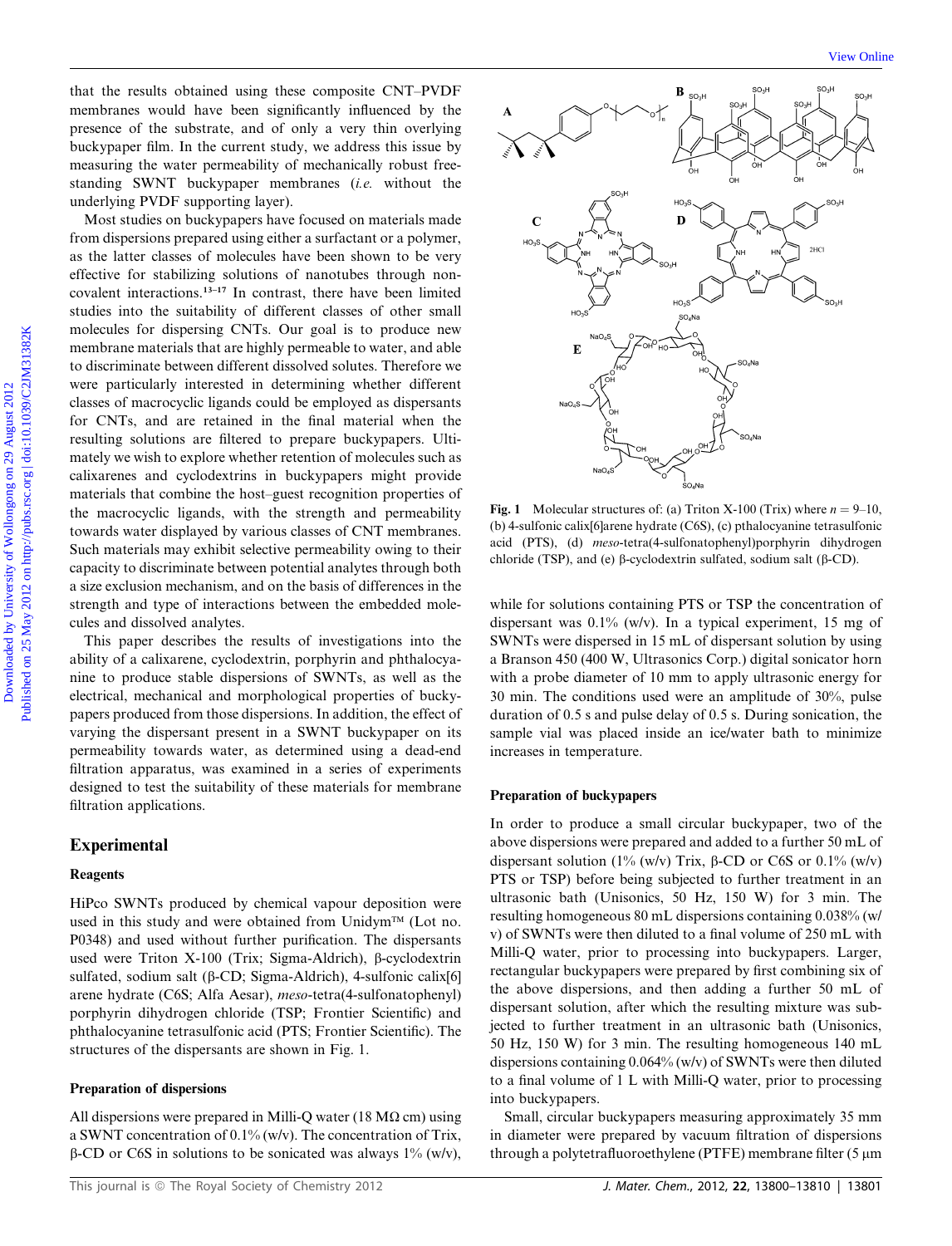that the results obtained using these composite CNT–PVDF membranes would have been significantly influenced by the presence of the substrate, and of only a very thin overlying buckypaper film. In the current study, we address this issue by measuring the water permeability of mechanically robust freestanding SWNT buckypaper membranes (i.e. without the underlying PVDF supporting layer).

Most studies on buckypapers have focused on materials made from dispersions prepared using either a surfactant or a polymer, as the latter classes of molecules have been shown to be very effective for stabilizing solutions of nanotubes through noncovalent interactions.13–17 In contrast, there have been limited studies into the suitability of different classes of other small molecules for dispersing CNTs. Our goal is to produce new membrane materials that are highly permeable to water, and able to discriminate between different dissolved solutes. Therefore we were particularly interested in determining whether different classes of macrocyclic ligands could be employed as dispersants for CNTs, and are retained in the final material when the resulting solutions are filtered to prepare buckypapers. Ultimately we wish to explore whether retention of molecules such as calixarenes and cyclodextrins in buckypapers might provide materials that combine the host–guest recognition properties of the macrocyclic ligands, with the strength and permeability towards water displayed by various classes of CNT membranes. Such materials may exhibit selective permeability owing to their capacity to discriminate between potential analytes through both a size exclusion mechanism, and on the basis of differences in the strength and type of interactions between the embedded molecules and dissolved analytes.

This paper describes the results of investigations into the ability of a calixarene, cyclodextrin, porphyrin and phthalocyanine to produce stable dispersions of SWNTs, as well as the electrical, mechanical and morphological properties of buckypapers produced from those dispersions. In addition, the effect of varying the dispersant present in a SWNT buckypaper on its permeability towards water, as determined using a dead-end filtration apparatus, was examined in a series of experiments designed to test the suitability of these materials for membrane filtration applications.

#### Experimental

#### Reagents

HiPco SWNTs produced by chemical vapour deposition were used in this study and were obtained from Unidym™ (Lot no. P0348) and used without further purification. The dispersants used were Triton X-100 (Trix; Sigma-Aldrich), β-cyclodextrin sulfated, sodium salt (β-CD; Sigma-Aldrich), 4-sulfonic calix[6] arene hydrate (C6S; Alfa Aesar), meso-tetra(4-sulfonatophenyl) porphyrin dihydrogen chloride (TSP; Frontier Scientific) and phthalocyanine tetrasulfonic acid (PTS; Frontier Scientific). The structures of the dispersants are shown in Fig. 1.

#### Preparation of dispersions

All dispersions were prepared in Milli-Q water (18  $M\Omega$  cm) using a SWNT concentration of 0.1% (w/v). The concentration of Trix,  $\beta$ -CD or C6S in solutions to be sonicated was always 1% (w/v),



Fig. 1 Molecular structures of: (a) Triton X-100 (Trix) where  $n = 9-10$ , (b) 4-sulfonic calix[6]arene hydrate (C6S), (c) pthalocyanine tetrasulfonic acid (PTS), (d) meso-tetra(4-sulfonatophenyl)porphyrin dihydrogen chloride (TSP), and (e)  $\beta$ -cyclodextrin sulfated, sodium salt ( $\beta$ -CD).

while for solutions containing PTS or TSP the concentration of dispersant was 0.1% (w/v). In a typical experiment, 15 mg of SWNTs were dispersed in 15 mL of dispersant solution by using a Branson 450 (400 W, Ultrasonics Corp.) digital sonicator horn with a probe diameter of 10 mm to apply ultrasonic energy for 30 min. The conditions used were an amplitude of 30%, pulse duration of 0.5 s and pulse delay of 0.5 s. During sonication, the sample vial was placed inside an ice/water bath to minimize increases in temperature.

#### Preparation of buckypapers

In order to produce a small circular buckypaper, two of the above dispersions were prepared and added to a further 50 mL of dispersant solution (1% (w/v) Trix,  $\beta$ -CD or C6S or 0.1% (w/v) PTS or TSP) before being subjected to further treatment in an ultrasonic bath (Unisonics, 50 Hz, 150 W) for 3 min. The resulting homogeneous 80 mL dispersions containing 0.038% (w/ v) of SWNTs were then diluted to a final volume of 250 mL with Milli-Q water, prior to processing into buckypapers. Larger, rectangular buckypapers were prepared by first combining six of the above dispersions, and then adding a further 50 mL of dispersant solution, after which the resulting mixture was subjected to further treatment in an ultrasonic bath (Unisonics, 50 Hz, 150 W) for 3 min. The resulting homogeneous 140 mL dispersions containing 0.064% (w/v) of SWNTs were then diluted to a final volume of 1 L with Milli-Q water, prior to processing into buckypapers.

Small, circular buckypapers measuring approximately 35 mm in diameter were prepared by vacuum filtration of dispersions through a polytetrafluoroethylene (PTFE) membrane filter (5  $\mu$ m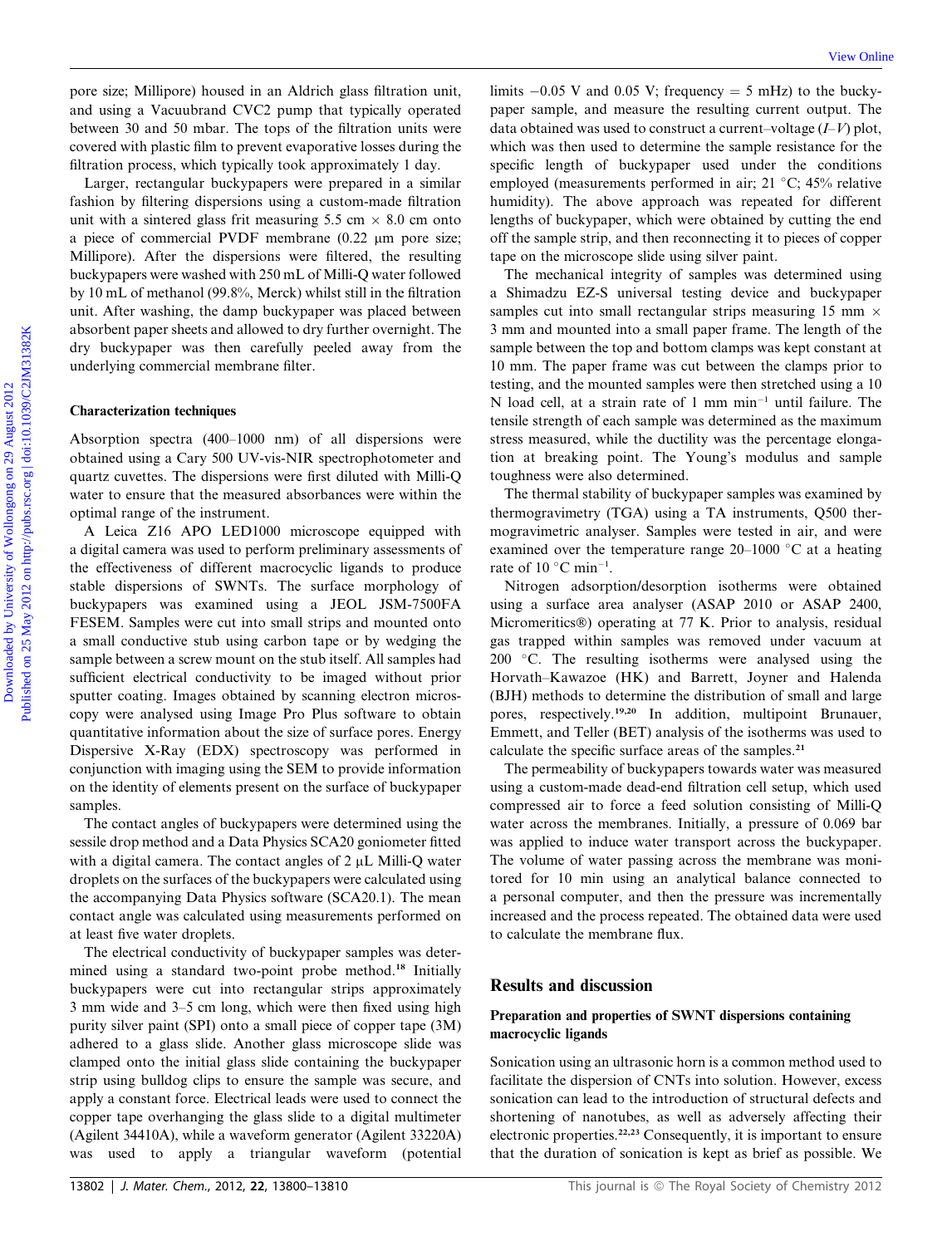pore size; Millipore) housed in an Aldrich glass filtration unit, and using a Vacuubrand CVC2 pump that typically operated between 30 and 50 mbar. The tops of the filtration units were covered with plastic film to prevent evaporative losses during the filtration process, which typically took approximately 1 day.

Larger, rectangular buckypapers were prepared in a similar fashion by filtering dispersions using a custom-made filtration unit with a sintered glass frit measuring 5.5 cm  $\times$  8.0 cm onto a piece of commercial PVDF membrane  $(0.22 \mu m)$  pore size; Millipore). After the dispersions were filtered, the resulting buckypapers were washed with 250 mL of Milli-Q water followed by 10 mL of methanol (99.8%, Merck) whilst still in the filtration unit. After washing, the damp buckypaper was placed between absorbent paper sheets and allowed to dry further overnight. The dry buckypaper was then carefully peeled away from the underlying commercial membrane filter.

#### Characterization techniques

Absorption spectra (400–1000 nm) of all dispersions were obtained using a Cary 500 UV-vis-NIR spectrophotometer and quartz cuvettes. The dispersions were first diluted with Milli-Q water to ensure that the measured absorbances were within the optimal range of the instrument.

A Leica Z16 APO LED1000 microscope equipped with a digital camera was used to perform preliminary assessments of the effectiveness of different macrocyclic ligands to produce stable dispersions of SWNTs. The surface morphology of buckypapers was examined using a JEOL JSM-7500FA FESEM. Samples were cut into small strips and mounted onto a small conductive stub using carbon tape or by wedging the sample between a screw mount on the stub itself. All samples had sufficient electrical conductivity to be imaged without prior sputter coating. Images obtained by scanning electron microscopy were analysed using Image Pro Plus software to obtain quantitative information about the size of surface pores. Energy Dispersive X-Ray (EDX) spectroscopy was performed in conjunction with imaging using the SEM to provide information on the identity of elements present on the surface of buckypaper samples.

The contact angles of buckypapers were determined using the sessile drop method and a Data Physics SCA20 goniometer fitted with a digital camera. The contact angles of  $2 \mu L$  Milli-Q water droplets on the surfaces of the buckypapers were calculated using the accompanying Data Physics software (SCA20.1). The mean contact angle was calculated using measurements performed on at least five water droplets.

The electrical conductivity of buckypaper samples was determined using a standard two-point probe method.<sup>18</sup> Initially buckypapers were cut into rectangular strips approximately 3 mm wide and 3–5 cm long, which were then fixed using high purity silver paint (SPI) onto a small piece of copper tape (3M) adhered to a glass slide. Another glass microscope slide was clamped onto the initial glass slide containing the buckypaper strip using bulldog clips to ensure the sample was secure, and apply a constant force. Electrical leads were used to connect the copper tape overhanging the glass slide to a digital multimeter (Agilent 34410A), while a waveform generator (Agilent 33220A) was used to apply a triangular waveform (potential

limits  $-0.05$  V and 0.05 V; frequency  $= 5$  mHz) to the buckypaper sample, and measure the resulting current output. The data obtained was used to construct a current–voltage  $(I-V)$  plot, which was then used to determine the sample resistance for the specific length of buckypaper used under the conditions employed (measurements performed in air; 21  $\degree$ C; 45% relative humidity). The above approach was repeated for different lengths of buckypaper, which were obtained by cutting the end off the sample strip, and then reconnecting it to pieces of copper tape on the microscope slide using silver paint.

The mechanical integrity of samples was determined using a Shimadzu EZ-S universal testing device and buckypaper samples cut into small rectangular strips measuring 15 mm  $\times$ 3 mm and mounted into a small paper frame. The length of the sample between the top and bottom clamps was kept constant at 10 mm. The paper frame was cut between the clamps prior to testing, and the mounted samples were then stretched using a 10 N load cell, at a strain rate of 1 mm  $min^{-1}$  until failure. The tensile strength of each sample was determined as the maximum stress measured, while the ductility was the percentage elongation at breaking point. The Young's modulus and sample toughness were also determined. now size Milipson) bound in an Aldrich glass filtration unit, Finits -0.05 V and 0.05 V; frequency as production to the syle of May 2012 Published on 2012 Published on 2012 and means the resulting survey of Wollongong on

The thermal stability of buckypaper samples was examined by thermogravimetry (TGA) using a TA instruments, Q500 thermogravimetric analyser. Samples were tested in air, and were examined over the temperature range  $20-1000$  °C at a heating rate of  $10^{\circ}$ C min<sup>-1</sup>.

Nitrogen adsorption/desorption isotherms were obtained using a surface area analyser (ASAP 2010 or ASAP 2400, Micromeritics<sup>®</sup>) operating at 77 K. Prior to analysis, residual gas trapped within samples was removed under vacuum at 200 C. The resulting isotherms were analysed using the Horvath–Kawazoe (HK) and Barrett, Joyner and Halenda (BJH) methods to determine the distribution of small and large pores, respectively.19,20 In addition, multipoint Brunauer, Emmett, and Teller (BET) analysis of the isotherms was used to calculate the specific surface areas of the samples.<sup>21</sup>

The permeability of buckypapers towards water was measured using a custom-made dead-end filtration cell setup, which used compressed air to force a feed solution consisting of Milli-Q water across the membranes. Initially, a pressure of 0.069 bar was applied to induce water transport across the buckypaper. The volume of water passing across the membrane was monitored for 10 min using an analytical balance connected to a personal computer, and then the pressure was incrementally increased and the process repeated. The obtained data were used to calculate the membrane flux.

#### Results and discussion

#### Preparation and properties of SWNT dispersions containing macrocyclic ligands

Sonication using an ultrasonic horn is a common method used to facilitate the dispersion of CNTs into solution. However, excess sonication can lead to the introduction of structural defects and shortening of nanotubes, as well as adversely affecting their electronic properties.<sup>22,23</sup> Consequently, it is important to ensure that the duration of sonication is kept as brief as possible. We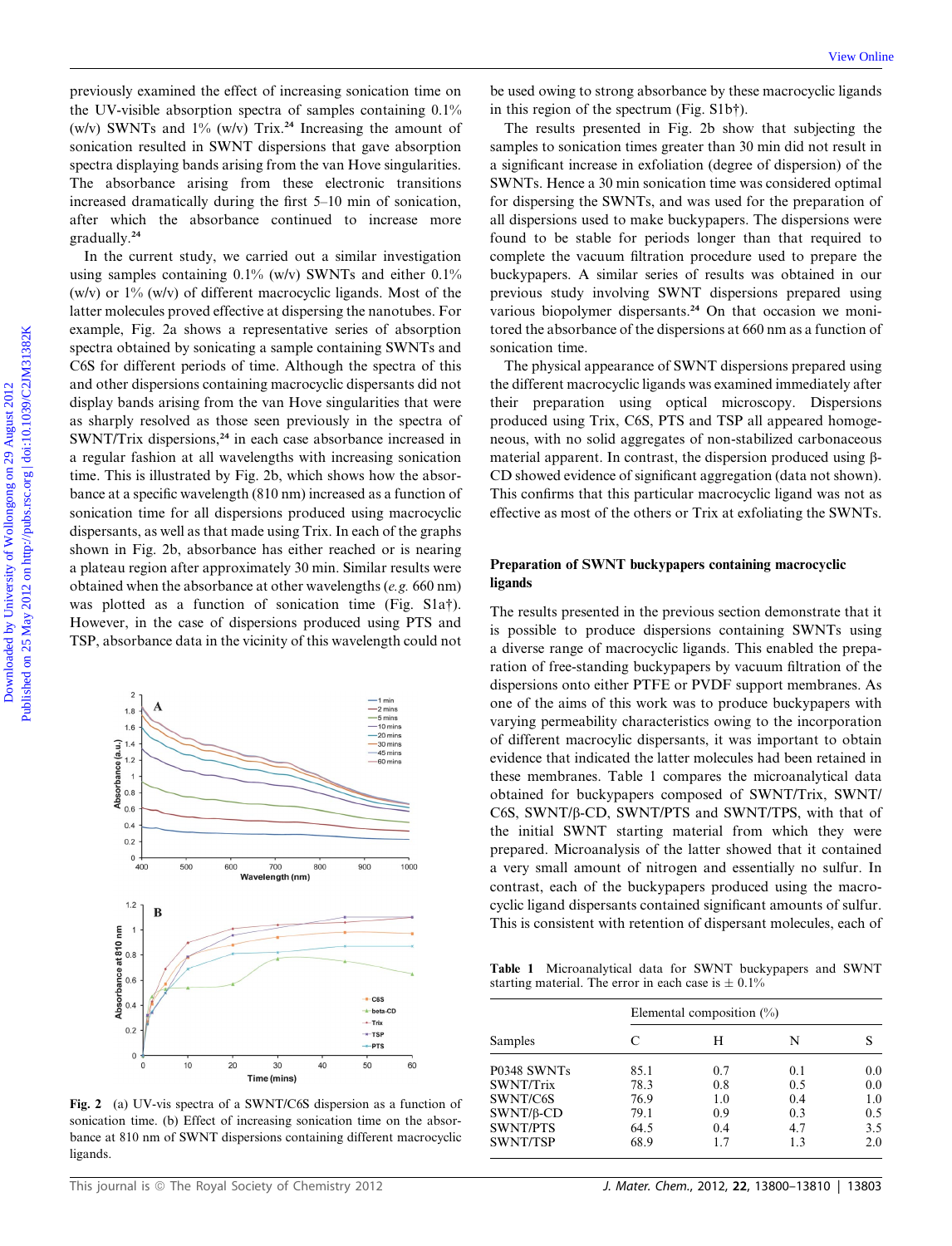previously examined the effect of increasing sonication time on the UV-visible absorption spectra of samples containing 0.1% (w/v) SWNTs and  $1\%$  (w/v) Trix.<sup>24</sup> Increasing the amount of sonication resulted in SWNT dispersions that gave absorption spectra displaying bands arising from the van Hove singularities. The absorbance arising from these electronic transitions increased dramatically during the first 5–10 min of sonication, after which the absorbance continued to increase more gradually.<sup>24</sup>

In the current study, we carried out a similar investigation using samples containing 0.1% (w/v) SWNTs and either 0.1% (w/v) or 1% (w/v) of different macrocyclic ligands. Most of the latter molecules proved effective at dispersing the nanotubes. For example, Fig. 2a shows a representative series of absorption spectra obtained by sonicating a sample containing SWNTs and C6S for different periods of time. Although the spectra of this and other dispersions containing macrocyclic dispersants did not display bands arising from the van Hove singularities that were as sharply resolved as those seen previously in the spectra of SWNT/Trix dispersions,<sup>24</sup> in each case absorbance increased in a regular fashion at all wavelengths with increasing sonication time. This is illustrated by Fig. 2b, which shows how the absorbance at a specific wavelength (810 nm) increased as a function of sonication time for all dispersions produced using macrocyclic dispersants, as well as that made using Trix. In each of the graphs shown in Fig. 2b, absorbance has either reached or is nearing a plateau region after approximately 30 min. Similar results were obtained when the absorbance at other wavelengths (e.g. 660 nm) was plotted as a function of sonication time (Fig. S1a†). However, in the case of dispersions produced using PTS and TSP, absorbance data in the vicinity of this wavelength could not Download is a simple of the distribution in the next reside in the region of the particular distribution (Fig. 3). It is a region of Hast equivalent fig. Since the system of Hast equivalent in the particle on the system o



Fig. 2 (a) UV-vis spectra of a SWNT/C6S dispersion as a function of sonication time. (b) Effect of increasing sonication time on the absorbance at 810 nm of SWNT dispersions containing different macrocyclic ligands.

be used owing to strong absorbance by these macrocyclic ligands in this region of the spectrum (Fig. S1b†).

The results presented in Fig. 2b show that subjecting the samples to sonication times greater than 30 min did not result in a significant increase in exfoliation (degree of dispersion) of the SWNTs. Hence a 30 min sonication time was considered optimal for dispersing the SWNTs, and was used for the preparation of all dispersions used to make buckypapers. The dispersions were found to be stable for periods longer than that required to complete the vacuum filtration procedure used to prepare the buckypapers. A similar series of results was obtained in our previous study involving SWNT dispersions prepared using various biopolymer dispersants.<sup>24</sup> On that occasion we monitored the absorbance of the dispersions at 660 nm as a function of sonication time.

The physical appearance of SWNT dispersions prepared using the different macrocyclic ligands was examined immediately after their preparation using optical microscopy. Dispersions produced using Trix, C6S, PTS and TSP all appeared homogeneous, with no solid aggregates of non-stabilized carbonaceous material apparent. In contrast, the dispersion produced using  $\beta$ -CD showed evidence of significant aggregation (data not shown). This confirms that this particular macrocyclic ligand was not as effective as most of the others or Trix at exfoliating the SWNTs.

#### Preparation of SWNT buckypapers containing macrocyclic ligands

The results presented in the previous section demonstrate that it is possible to produce dispersions containing SWNTs using a diverse range of macrocyclic ligands. This enabled the preparation of free-standing buckypapers by vacuum filtration of the dispersions onto either PTFE or PVDF support membranes. As one of the aims of this work was to produce buckypapers with varying permeability characteristics owing to the incorporation of different macrocylic dispersants, it was important to obtain evidence that indicated the latter molecules had been retained in these membranes. Table 1 compares the microanalytical data obtained for buckypapers composed of SWNT/Trix, SWNT/ C6S, SWNT/b-CD, SWNT/PTS and SWNT/TPS, with that of the initial SWNT starting material from which they were prepared. Microanalysis of the latter showed that it contained a very small amount of nitrogen and essentially no sulfur. In contrast, each of the buckypapers produced using the macrocyclic ligand dispersants contained significant amounts of sulfur. This is consistent with retention of dispersant molecules, each of

Table 1 Microanalytical data for SWNT buckypapers and SWNT starting material. The error in each case is  $\pm 0.1\%$ 

| Samples         | Elemental composition $(\% )$ |     |     |     |  |
|-----------------|-------------------------------|-----|-----|-----|--|
|                 | C                             | H   | N   |     |  |
| P0348 SWNTs     | 85.1                          | 0.7 | 0.1 | 0.0 |  |
| SWNT/Trix       | 78.3                          | 0.8 | 0.5 | 0.0 |  |
| SWNT/C6S        | 76.9                          | 1.0 | 0.4 | 1.0 |  |
| $SWNT/B-CD$     | 79.1                          | 0.9 | 0.3 | 0.5 |  |
| <b>SWNT/PTS</b> | 64.5                          | 0.4 | 4.7 | 3.5 |  |
| SWNT/TSP        | 68.9                          | 17  | 13  | 2.0 |  |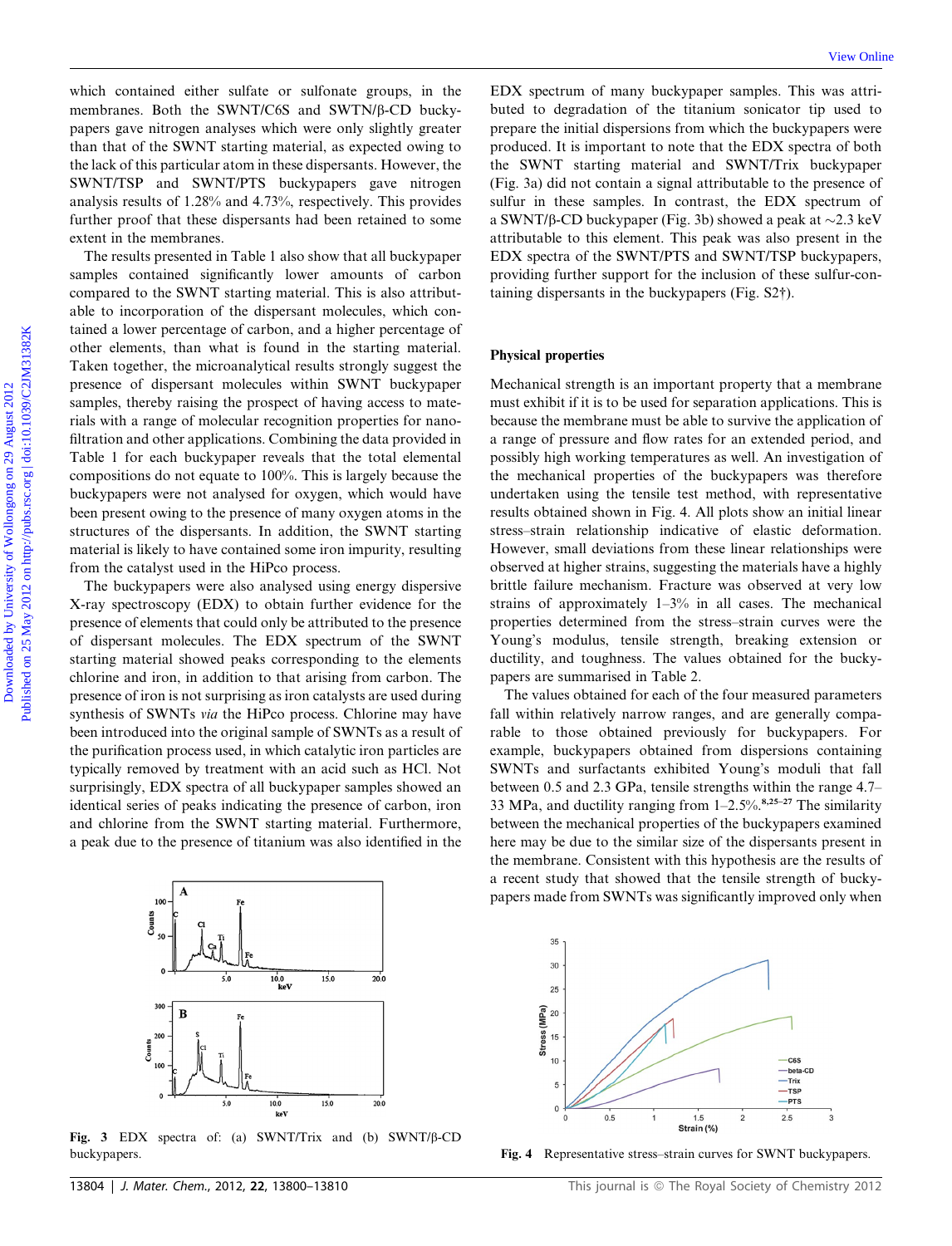which contained either sulfate or sulfonate groups, in the membranes. Both the SWNT/C6S and SWTN/ $\beta$ -CD buckypapers gave nitrogen analyses which were only slightly greater than that of the SWNT starting material, as expected owing to the lack of this particular atom in these dispersants. However, the SWNT/TSP and SWNT/PTS buckypapers gave nitrogen analysis results of 1.28% and 4.73%, respectively. This provides further proof that these dispersants had been retained to some extent in the membranes.

The results presented in Table 1 also show that all buckypaper samples contained significantly lower amounts of carbon compared to the SWNT starting material. This is also attributable to incorporation of the dispersant molecules, which contained a lower percentage of carbon, and a higher percentage of other elements, than what is found in the starting material. Taken together, the microanalytical results strongly suggest the presence of dispersant molecules within SWNT buckypaper samples, thereby raising the prospect of having access to materials with a range of molecular recognition properties for nanofiltration and other applications. Combining the data provided in Table 1 for each buckypaper reveals that the total elemental compositions do not equate to 100%. This is largely because the buckypapers were not analysed for oxygen, which would have been present owing to the presence of many oxygen atoms in the structures of the dispersants. In addition, the SWNT starting material is likely to have contained some iron impurity, resulting from the catalyst used in the HiPco process. which contained sides suffits or national groups, in the FDX spectrum of many hadynaper same). This was alternative and the SWNT steady of the synchetics and SWNTE by heater to the intrimine using the measure of the SWNT

The buckypapers were also analysed using energy dispersive X-ray spectroscopy (EDX) to obtain further evidence for the presence of elements that could only be attributed to the presence of dispersant molecules. The EDX spectrum of the SWNT starting material showed peaks corresponding to the elements chlorine and iron, in addition to that arising from carbon. The presence of iron is not surprising as iron catalysts are used during synthesis of SWNTs via the HiPco process. Chlorine may have been introduced into the original sample of SWNTs as a result of the purification process used, in which catalytic iron particles are typically removed by treatment with an acid such as HCl. Not surprisingly, EDX spectra of all buckypaper samples showed an identical series of peaks indicating the presence of carbon, iron and chlorine from the SWNT starting material. Furthermore, a peak due to the presence of titanium was also identified in the



Fig. 3 EDX spectra of: (a) SWNT/Trix and (b) SWNT/ $\beta$ -CD buckypapers. Fig. 4 Representative stress–strain curves for SWNT buckypapers.

EDX spectrum of many buckypaper samples. This was attributed to degradation of the titanium sonicator tip used to prepare the initial dispersions from which the buckypapers were produced. It is important to note that the EDX spectra of both the SWNT starting material and SWNT/Trix buckypaper (Fig. 3a) did not contain a signal attributable to the presence of sulfur in these samples. In contrast, the EDX spectrum of a SWNT/6-CD buckypaper (Fig. 3b) showed a peak at  $\sim$ 2.3 keV attributable to this element. This peak was also present in the EDX spectra of the SWNT/PTS and SWNT/TSP buckypapers, providing further support for the inclusion of these sulfur-containing dispersants in the buckypapers (Fig. S2†).

#### Physical properties

Mechanical strength is an important property that a membrane must exhibit if it is to be used for separation applications. This is because the membrane must be able to survive the application of a range of pressure and flow rates for an extended period, and possibly high working temperatures as well. An investigation of the mechanical properties of the buckypapers was therefore undertaken using the tensile test method, with representative results obtained shown in Fig. 4. All plots show an initial linear stress–strain relationship indicative of elastic deformation. However, small deviations from these linear relationships were observed at higher strains, suggesting the materials have a highly brittle failure mechanism. Fracture was observed at very low strains of approximately 1–3% in all cases. The mechanical properties determined from the stress–strain curves were the Young's modulus, tensile strength, breaking extension or ductility, and toughness. The values obtained for the buckypapers are summarised in Table 2.

The values obtained for each of the four measured parameters fall within relatively narrow ranges, and are generally comparable to those obtained previously for buckypapers. For example, buckypapers obtained from dispersions containing SWNTs and surfactants exhibited Young's moduli that fall between 0.5 and 2.3 GPa, tensile strengths within the range 4.7– 33 MPa, and ductility ranging from  $1-2.5\%$ .<sup>8,25-27</sup> The similarity between the mechanical properties of the buckypapers examined here may be due to the similar size of the dispersants present in the membrane. Consistent with this hypothesis are the results of a recent study that showed that the tensile strength of buckypapers made from SWNTs was significantly improved only when

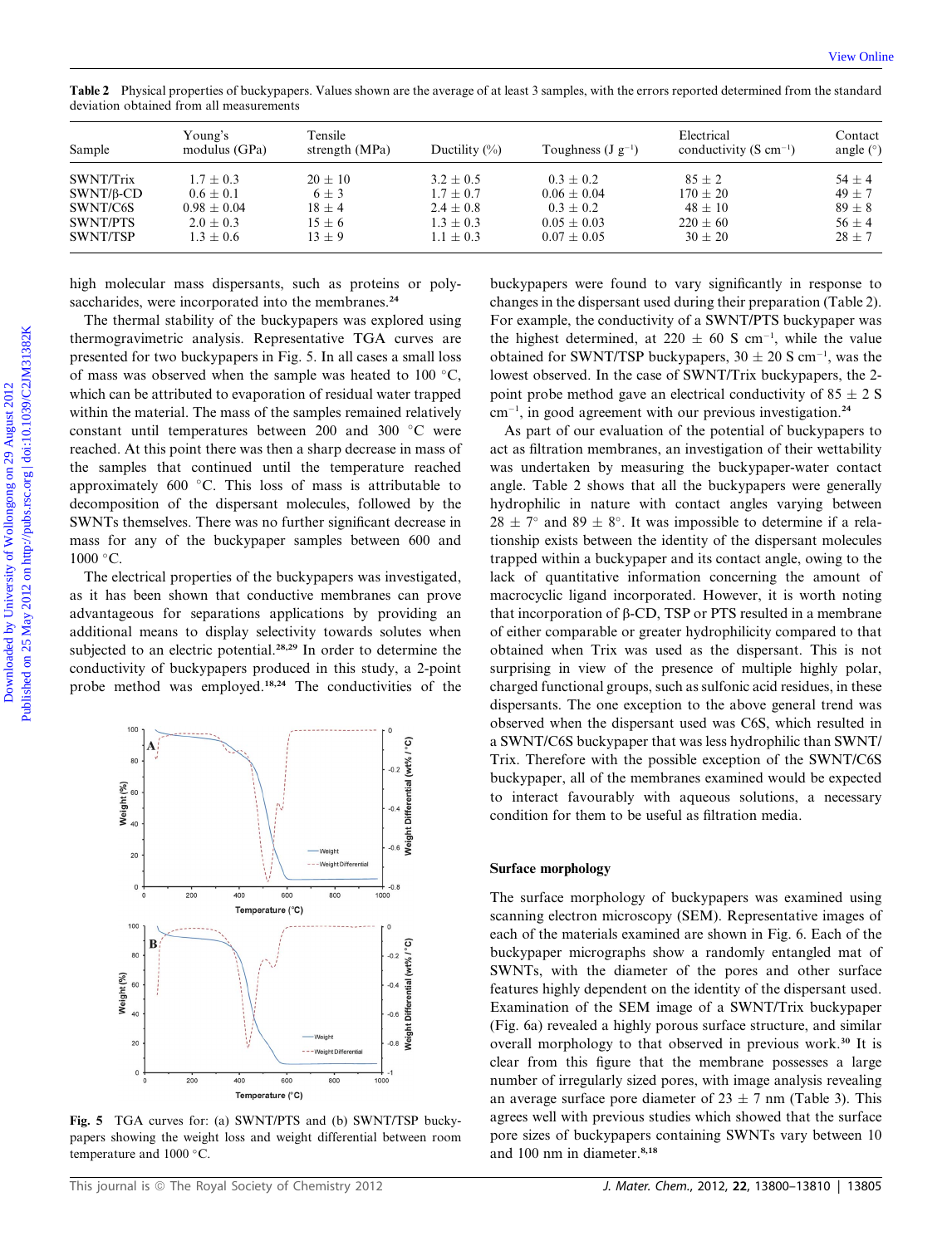| Sample          | Young's<br>modulus (GPa) | Tensile<br>strength (MPa) | Ductility $(\%)$ | Toughness $(J g^{-1})$ | Electrical<br>conductivity $(S \text{ cm}^{-1})$ | Contact<br>angle $(°)$ |
|-----------------|--------------------------|---------------------------|------------------|------------------------|--------------------------------------------------|------------------------|
| SWNT/Trix       | $1.7 + 0.3$              | $20 + 10$                 | $3.2 + 0.5$      | $0.3 + 0.2$            | $85 + 2$                                         | $54 + 4$               |
| $SWNT/B-CD$     | $0.6 \pm 0.1$            | $6\pm3$                   | $1.7 + 0.7$      | $0.06 \pm 0.04$        | $170 \pm 20$                                     | $49 + 7$               |
| SWNT/C6S        | $0.98 + 0.04$            | $18 + 4$                  | $2.4 + 0.8$      | $0.3 + 0.2$            | $48 \pm 10$                                      | $89 \pm 8$             |
| <b>SWNT/PTS</b> | $2.0 + 0.3$              | $15 + 6$                  | $1.3 + 0.3$      | $0.05 + 0.03$          | $220 + 60$                                       | $56 + 4$               |
| SWNT/TSP        | $1.3 + 0.6$              | $13 + 9$                  | $1.1 + 0.3$      | $0.07 + 0.05$          | $30 + 20$                                        | $28 + 7$               |

Table 2 Physical properties of buckypapers. Values shown are the average of at least 3 samples, with the errors reported determined from the standard deviation obtained from all measurements

high molecular mass dispersants, such as proteins or polysaccharides, were incorporated into the membranes.<sup>24</sup>

The thermal stability of the buckypapers was explored using thermogravimetric analysis. Representative TGA curves are presented for two buckypapers in Fig. 5. In all cases a small loss of mass was observed when the sample was heated to  $100^{\circ}$ C. which can be attributed to evaporation of residual water trapped within the material. The mass of the samples remained relatively constant until temperatures between 200 and 300 °C were reached. At this point there was then a sharp decrease in mass of the samples that continued until the temperature reached approximately  $600\degree$ C. This loss of mass is attributable to decomposition of the dispersant molecules, followed by the SWNTs themselves. There was no further significant decrease in mass for any of the buckypaper samples between 600 and  $1000 °C$ .

The electrical properties of the buckypapers was investigated, as it has been shown that conductive membranes can prove advantageous for separations applications by providing an additional means to display selectivity towards solutes when subjected to an electric potential.<sup>28,29</sup> In order to determine the conductivity of buckypapers produced in this study, a 2-point probe method was employed.18,24 The conductivities of the



Fig. 5 TGA curves for: (a) SWNT/PTS and (b) SWNT/TSP buckypapers showing the weight loss and weight differential between room temperature and 1000 °C.

buckypapers were found to vary significantly in response to changes in the dispersant used during their preparation (Table 2). For example, the conductivity of a SWNT/PTS buckypaper was the highest determined, at  $220 \pm 60$  S cm<sup>-1</sup>, while the value obtained for SWNT/TSP buckypapers,  $30 \pm 20$  S cm<sup>-1</sup>, was the lowest observed. In the case of SWNT/Trix buckypapers, the 2 point probe method gave an electrical conductivity of  $85 \pm 2$  S  $cm^{-1}$ , in good agreement with our previous investigation.<sup>24</sup>

As part of our evaluation of the potential of buckypapers to act as filtration membranes, an investigation of their wettability was undertaken by measuring the buckypaper-water contact angle. Table 2 shows that all the buckypapers were generally hydrophilic in nature with contact angles varying between  $28 \pm 7^{\circ}$  and  $89 \pm 8^{\circ}$ . It was impossible to determine if a relationship exists between the identity of the dispersant molecules trapped within a buckypaper and its contact angle, owing to the lack of quantitative information concerning the amount of macrocyclic ligand incorporated. However, it is worth noting that incorporation of  $\beta$ -CD, TSP or PTS resulted in a membrane of either comparable or greater hydrophilicity compared to that obtained when Trix was used as the dispersant. This is not surprising in view of the presence of multiple highly polar, charged functional groups, such as sulfonic acid residues, in these dispersants. The one exception to the above general trend was observed when the dispersant used was C6S, which resulted in a SWNT/C6S buckypaper that was less hydrophilic than SWNT/ Trix. Therefore with the possible exception of the SWNT/C6S buckypaper, all of the membranes examined would be expected to interact favourably with aqueous solutions, a necessary condition for them to be useful as filtration media. Table 2. Poysical properties of Nucley<br>Some are the average of a feat 8 samples, with the arrows of determined from the actual<br>solution of World Consumers 2012 Published on 2012 Published on 2012 Published on 2012 Publish

#### Surface morphology

The surface morphology of buckypapers was examined using scanning electron microscopy (SEM). Representative images of each of the materials examined are shown in Fig. 6. Each of the buckypaper micrographs show a randomly entangled mat of SWNTs, with the diameter of the pores and other surface features highly dependent on the identity of the dispersant used. Examination of the SEM image of a SWNT/Trix buckypaper (Fig. 6a) revealed a highly porous surface structure, and similar overall morphology to that observed in previous work.<sup>30</sup> It is clear from this figure that the membrane possesses a large number of irregularly sized pores, with image analysis revealing an average surface pore diameter of  $23 \pm 7$  nm (Table 3). This agrees well with previous studies which showed that the surface pore sizes of buckypapers containing SWNTs vary between 10 and 100 nm in diameter.8,18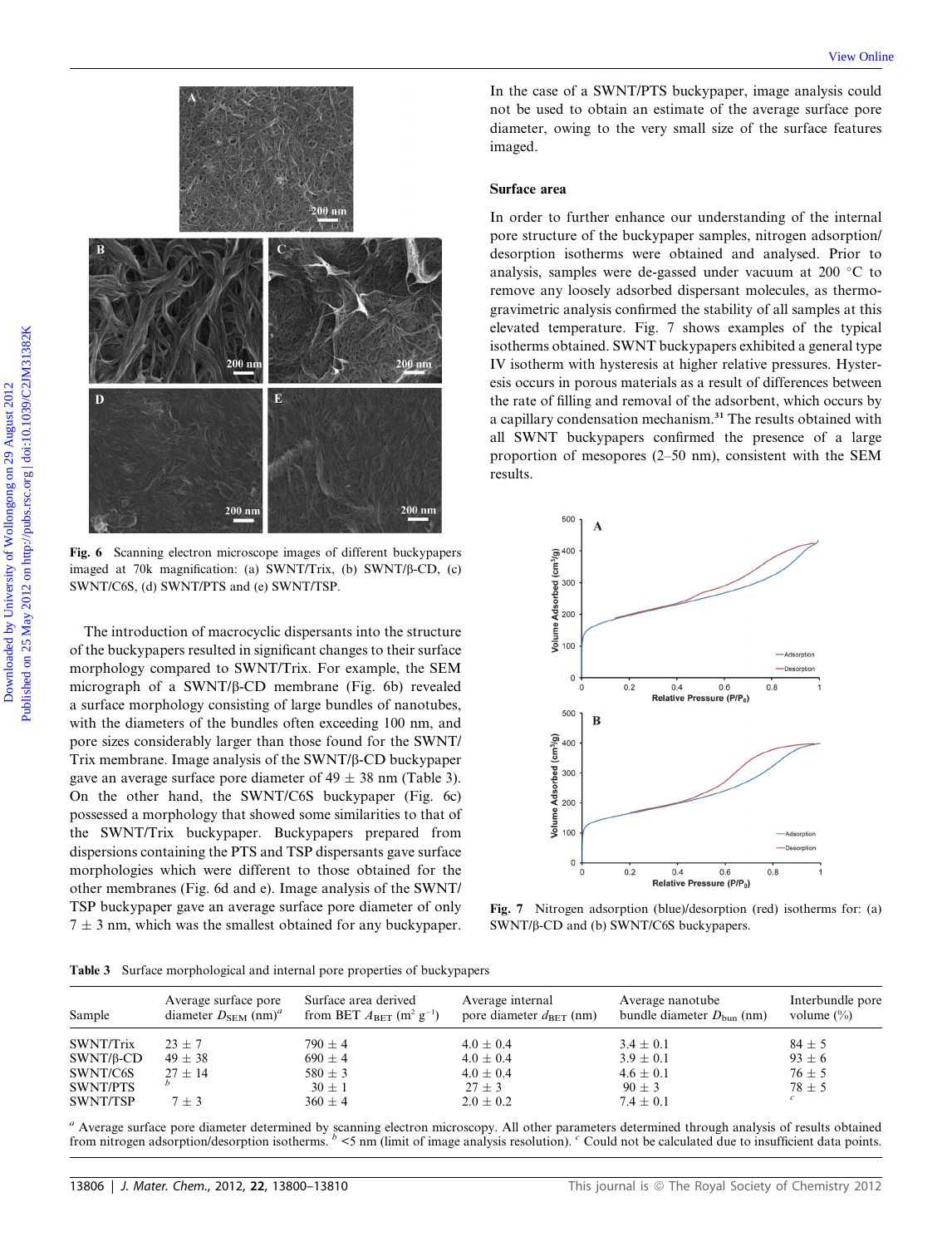

Fig. 6 Scanning electron microscope images of different buckypapers imaged at 70k magnification: (a) SWNT/Trix, (b) SWNT/b-CD, (c) SWNT/C6S, (d) SWNT/PTS and (e) SWNT/TSP.

The introduction of macrocyclic dispersants into the structure of the buckypapers resulted in significant changes to their surface morphology compared to SWNT/Trix. For example, the SEM micrograph of a SWNT/ $\beta$ -CD membrane (Fig. 6b) revealed a surface morphology consisting of large bundles of nanotubes, with the diameters of the bundles often exceeding 100 nm, and pore sizes considerably larger than those found for the SWNT/ Trix membrane. Image analysis of the SWNT/ $\beta$ -CD buckypaper gave an average surface pore diameter of  $49 \pm 38$  nm (Table 3). On the other hand, the SWNT/C6S buckypaper (Fig. 6c) possessed a morphology that showed some similarities to that of the SWNT/Trix buckypaper. Buckypapers prepared from dispersions containing the PTS and TSP dispersants gave surface morphologies which were different to those obtained for the other membranes (Fig. 6d and e). Image analysis of the SWNT/ TSP buckypaper gave an average surface pore diameter of only  $7 \pm 3$  nm, which was the smallest obtained for any buckypaper.

In the case of a SWNT/PTS buckypaper, image analysis could not be used to obtain an estimate of the average surface pore diameter, owing to the very small size of the surface features imaged.

#### Surface area

In order to further enhance our understanding of the internal pore structure of the buckypaper samples, nitrogen adsorption/ desorption isotherms were obtained and analysed. Prior to analysis, samples were de-gassed under vacuum at  $200\degree C$  to remove any loosely adsorbed dispersant molecules, as thermogravimetric analysis confirmed the stability of all samples at this elevated temperature. Fig. 7 shows examples of the typical isotherms obtained. SWNT buckypapers exhibited a general type IV isotherm with hysteresis at higher relative pressures. Hysteresis occurs in porous materials as a result of differences between the rate of filling and removal of the adsorbent, which occurs by a capillary condensation mechanism.<sup>31</sup> The results obtained with all SWNT buckypapers confirmed the presence of a large proportion of mesopores (2–50 nm), consistent with the SEM results.



Fig. 7 Nitrogen adsorption (blue)/desorption (red) isotherms for: (a) SWNT/β-CD and (b) SWNT/C6S buckypapers.

Table 3 Surface morphological and internal pore properties of buckypapers

| Sample                      | Average surface pore                        | Surface area derived                                        | Average internal             | Average nanotube                      | Interbundle pore |
|-----------------------------|---------------------------------------------|-------------------------------------------------------------|------------------------------|---------------------------------------|------------------|
|                             | diameter $D_{\text{SEM}}$ (nm) <sup>a</sup> | from BET $A_{\text{BET}}$ (m <sup>2</sup> g <sup>-1</sup> ) | pore diameter $d_{BFT}$ (nm) | bundle diameter $D_{\text{bun}}$ (nm) | volume $(\%)$    |
| SWNT/Trix                   | $23 + 7$                                    | $790 + 4$                                                   | $4.0 \pm 0.4$                | $3.4 \pm 0.1$                         | $84 \pm 5$       |
| $SWNT/B-CD$                 | $49 \pm 38$                                 | $690 \pm 4$                                                 | $4.0 \pm 0.4$                | $3.9 \pm 0.1$                         | $93 \pm 6$       |
| SWNT/C6S                    | $27 + 14$                                   | $580 \pm 3$                                                 | $4.0 \pm 0.4$                | $4.6 \pm 0.1$                         | $76 \pm 5$       |
| <b>SWNT/PTS</b><br>SWNT/TSP | $7 \pm 3$                                   | $30 \pm 1$<br>$360 \pm 4$                                   | $27 \pm 3$<br>$2.0 \pm 0.2$  | $90 \pm 3$<br>$7.4 \pm 0.1$           | $78 + 5$         |

<sup>a</sup> Average surface pore diameter determined by scanning electron microscopy. All other parameters determined through analysis of results obtained from nitrogen adsorption/desorption isotherms.  $b < 5$  nm (limit of image analysis resolution). Could not be calculated due to insufficient data points.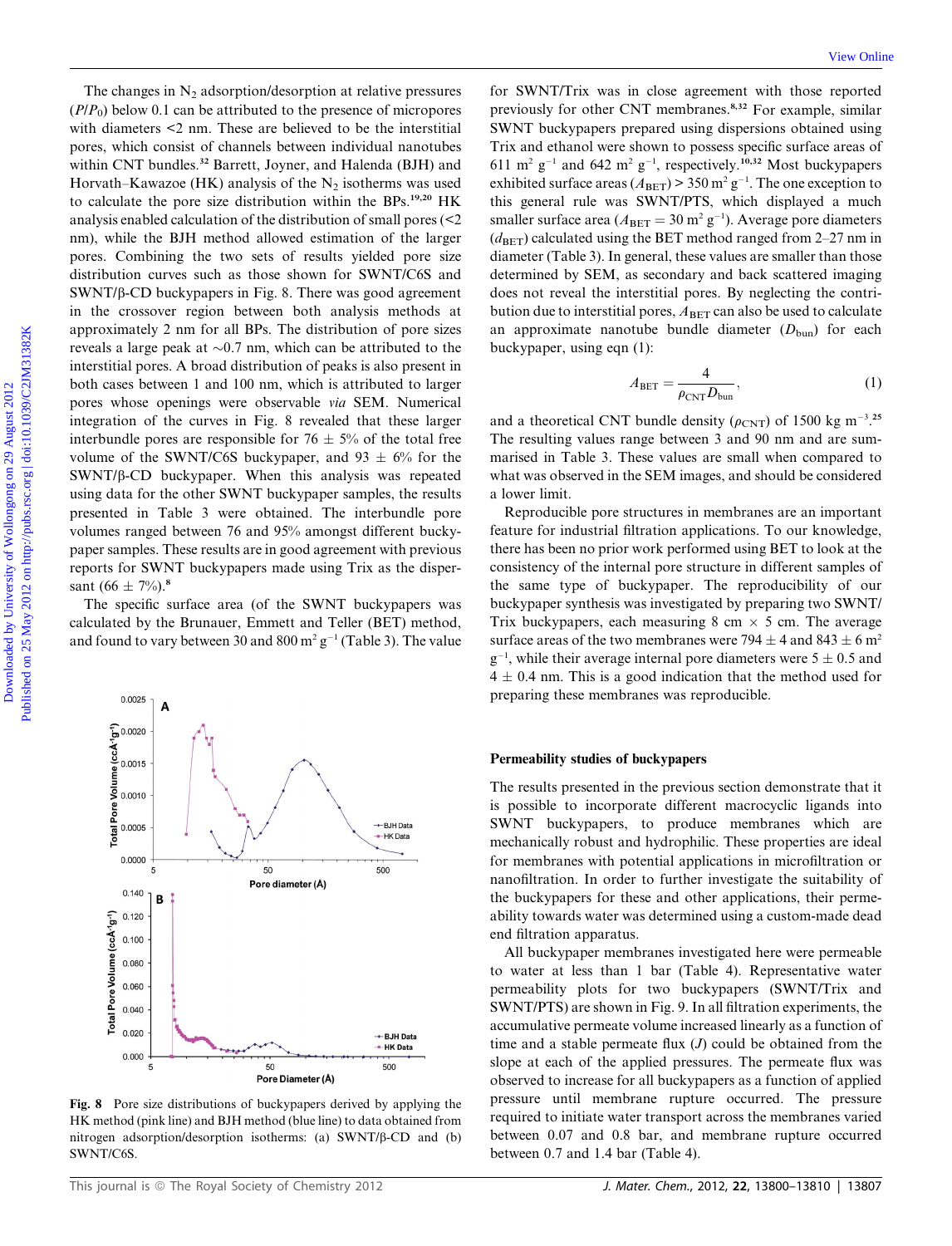The changes in  $N_2$  adsorption/desorption at relative pressures  $(P/P_0)$  below 0.1 can be attributed to the presence of micropores with diameters <2 nm. These are believed to be the interstitial pores, which consist of channels between individual nanotubes within CNT bundles.<sup>32</sup> Barrett, Joyner, and Halenda (BJH) and Horvath–Kawazoe (HK) analysis of the  $N_2$  isotherms was used to calculate the pore size distribution within the BPs.19,20 HK analysis enabled calculation of the distribution of small pores (<2 nm), while the BJH method allowed estimation of the larger pores. Combining the two sets of results yielded pore size distribution curves such as those shown for SWNT/C6S and  $SWNT/\beta$ -CD buckypapers in Fig. 8. There was good agreement in the crossover region between both analysis methods at approximately 2 nm for all BPs. The distribution of pore sizes reveals a large peak at  $\sim 0.7$  nm, which can be attributed to the interstitial pores. A broad distribution of peaks is also present in both cases between 1 and 100 nm, which is attributed to larger pores whose openings were observable via SEM. Numerical integration of the curves in Fig. 8 revealed that these larger interbundle pores are responsible for  $76 \pm 5\%$  of the total free volume of the SWNT/C6S buckypaper, and 93  $\pm$  6% for the  $SWNT/\beta$ -CD buckypaper. When this analysis was repeated using data for the other SWNT buckypaper samples, the results presented in Table 3 were obtained. The interbundle pore volumes ranged between 76 and 95% amongst different buckypaper samples. These results are in good agreement with previous reports for SWNT buckypapers made using Trix as the dispersant  $(66 \pm 7\%)$ .<sup>8</sup> The changes in V<sub>a</sub>, the<br>articleation in the this contrast for SWAT/Tris was in does agreement (*PIP*) kinds at the interval on 11 can be universited on the measured free controlled summing with the measured by the contro

The specific surface area (of the SWNT buckypapers was calculated by the Brunauer, Emmett and Teller (BET) method, and found to vary between 30 and 800 m<sup>2</sup> g<sup>-1</sup> (Table 3). The value

Fig. 8 Pore size distributions of buckypapers derived by applying the HK method (pink line) and BJH method (blue line) to data obtained from nitrogen adsorption/desorption isotherms: (a) SWNT/ $\beta$ -CD and (b) SWNT/C6S

for SWNT/Trix was in close agreement with those reported previously for other CNT membranes.8,32 For example, similar SWNT buckypapers prepared using dispersions obtained using Trix and ethanol were shown to possess specific surface areas of 611 m<sup>2</sup> g<sup>-1</sup> and 642 m<sup>2</sup> g<sup>-1</sup>, respectively.<sup>10,32</sup> Most buckypapers exhibited surface areas  $(A_{\text{BET}})$  > 350 m<sup>2</sup> g<sup>-1</sup>. The one exception to this general rule was SWNT/PTS, which displayed a much smaller surface area  $(A<sub>BET</sub> = 30 \text{ m}^2 \text{ g}^{-1})$ . Average pore diameters  $(d_{\text{BET}})$  calculated using the BET method ranged from 2–27 nm in diameter (Table 3). In general, these values are smaller than those determined by SEM, as secondary and back scattered imaging does not reveal the interstitial pores. By neglecting the contribution due to interstitial pores,  $A_{\text{BET}}$  can also be used to calculate an approximate nanotube bundle diameter  $(D_{\text{bun}})$  for each buckypaper, using eqn (1):

$$
A_{\text{BET}} = \frac{4}{\rho_{\text{CNT}} D_{\text{bun}}},\tag{1}
$$

and a theoretical CNT bundle density ( $\rho_{\text{CNT}}$ ) of 1500 kg m<sup>-3</sup>.<sup>25</sup> The resulting values range between 3 and 90 nm and are summarised in Table 3. These values are small when compared to what was observed in the SEM images, and should be considered a lower limit.

Reproducible pore structures in membranes are an important feature for industrial filtration applications. To our knowledge, there has been no prior work performed using BET to look at the consistency of the internal pore structure in different samples of the same type of buckypaper. The reproducibility of our buckypaper synthesis was investigated by preparing two SWNT/ Trix buckypapers, each measuring 8 cm  $\times$  5 cm. The average surface areas of the two membranes were 794  $\pm$  4 and 843  $\pm$  6 m<sup>2</sup>  $g^{-1}$ , while their average internal pore diameters were  $5 \pm 0.5$  and  $4 \pm 0.4$  nm. This is a good indication that the method used for preparing these membranes was reproducible.

#### Permeability studies of buckypapers

The results presented in the previous section demonstrate that it is possible to incorporate different macrocyclic ligands into SWNT buckypapers, to produce membranes which are mechanically robust and hydrophilic. These properties are ideal for membranes with potential applications in microfiltration or nanofiltration. In order to further investigate the suitability of the buckypapers for these and other applications, their permeability towards water was determined using a custom-made dead end filtration apparatus.

All buckypaper membranes investigated here were permeable to water at less than 1 bar (Table 4). Representative water permeability plots for two buckypapers (SWNT/Trix and SWNT/PTS) are shown in Fig. 9. In all filtration experiments, the accumulative permeate volume increased linearly as a function of time and a stable permeate flux  $(J)$  could be obtained from the slope at each of the applied pressures. The permeate flux was observed to increase for all buckypapers as a function of applied pressure until membrane rupture occurred. The pressure required to initiate water transport across the membranes varied between 0.07 and 0.8 bar, and membrane rupture occurred between 0.7 and 1.4 bar (Table 4).

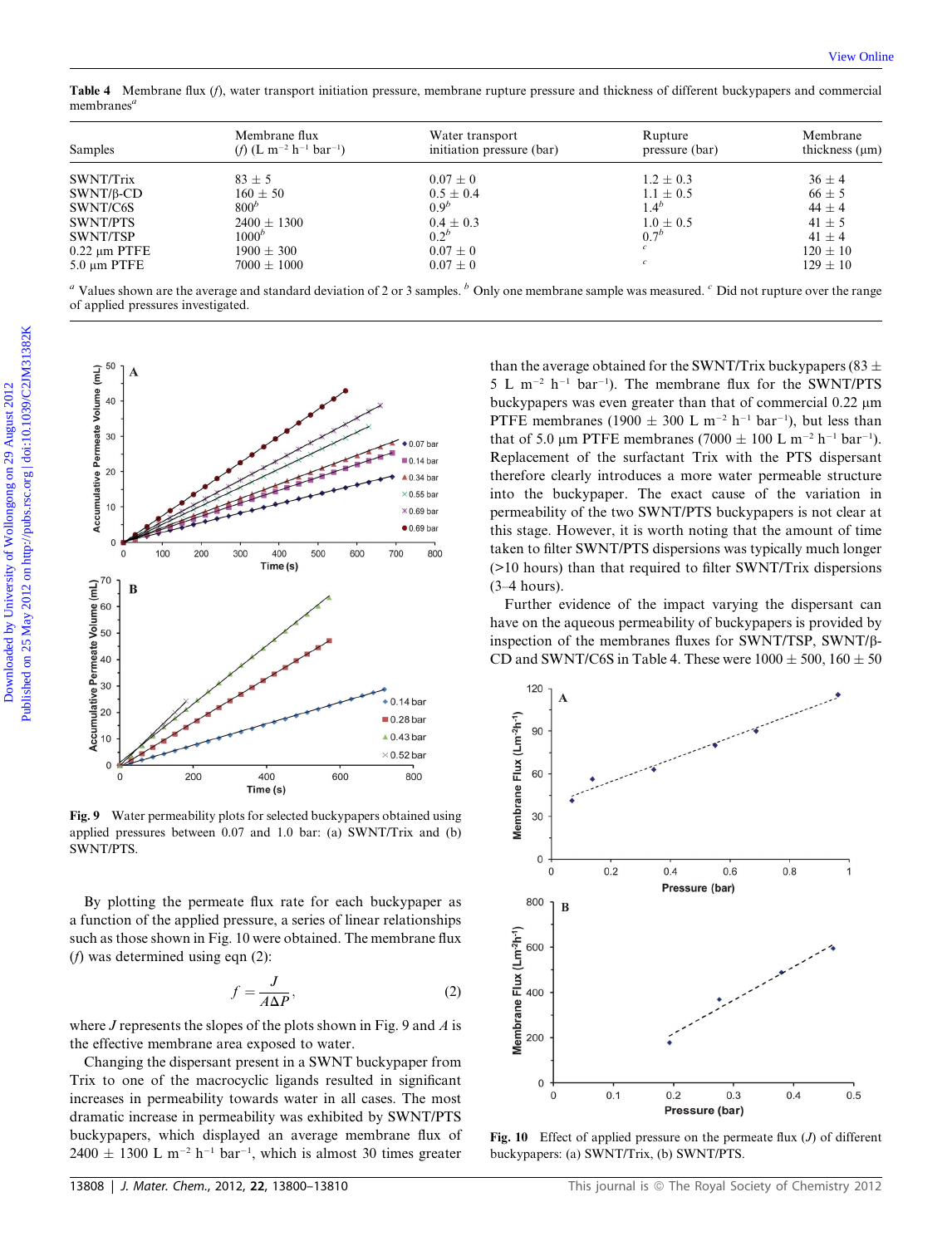Table 4 Membrane flux (*f*), water transport initiation pressure, membrane rupture pressure and thickness of different buckypapers and commercial membranes<sup>c</sup>

| Samples           | Membrane flux<br>( <i>f</i> ) (L m <sup>-2</sup> h <sup>-1</sup> bar <sup>-1</sup> ) | Water transport<br>initiation pressure (bar) | Rupture<br>pressure (bar) | Membrane<br>thickness $(\mu m)$ |
|-------------------|--------------------------------------------------------------------------------------|----------------------------------------------|---------------------------|---------------------------------|
| SWNT/Trix         | $83 \pm 5$                                                                           | $0.07 + 0.0$                                 | $1.2 \pm 0.3$             | $36 \pm 4$                      |
| $SWNT/B-CD$       | $160 \pm 50$                                                                         | $0.5 \pm 0.4$                                | $1.1 \pm 0.5$             | $66 \pm 5$                      |
| SWNT/C6S          | 800 <sup>b</sup>                                                                     | 0.9 <sup>b</sup>                             | $1.4^{b}$                 | $44 \pm 4$                      |
| <b>SWNT/PTS</b>   | $2400 \pm 1300$                                                                      | $0.4 + 0.3$                                  | $1.0 + 0.5$               | $41 + 5$                        |
| SWNT/TSP          | $1000^b$                                                                             | 0.2 <sup>b</sup>                             | $0.7^{b}$                 | $41 + 4$                        |
| $0.22 \mu m$ PTFE | $1900 \pm 300$                                                                       | $0.07 \pm 0$                                 |                           | $120 \pm 10$                    |
| $5.0 \mu m$ PTFE  | $7000 \pm 1000$                                                                      | $0.07 \pm 0$                                 |                           | $129 \pm 10$                    |

<sup>a</sup> Values shown are the average and standard deviation of 2 or 3 samples. <sup>b</sup> Only one membrane sample was measured. <sup>c</sup> Did not rupture over the range of applied pressures investigated.



Fig. 9 Water permeability plots for selected buckypapers obtained using applied pressures between 0.07 and 1.0 bar: (a) SWNT/Trix and (b) SWNT/PTS.

By plotting the permeate flux rate for each buckypaper as a function of the applied pressure, a series of linear relationships such as those shown in Fig. 10 were obtained. The membrane flux (f) was determined using eqn (2):

$$
f = \frac{J}{A\Delta P},\tag{2}
$$

where  $J$  represents the slopes of the plots shown in Fig. 9 and  $A$  is the effective membrane area exposed to water.

Changing the dispersant present in a SWNT buckypaper from Trix to one of the macrocyclic ligands resulted in significant increases in permeability towards water in all cases. The most dramatic increase in permeability was exhibited by SWNT/PTS buckypapers, which displayed an average membrane flux of  $2400 \pm 1300$  L m<sup>-2</sup> h<sup>-1</sup> bar<sup>-1</sup>, which is almost 30 times greater

than the average obtained for the SWNT/Trix buckypapers (83  $\pm$  $5$  L m<sup>-2</sup> h<sup>-1</sup> bar<sup>-1</sup>). The membrane flux for the SWNT/PTS buckypapers was even greater than that of commercial 0.22  $\mu$ m PTFE membranes (1900  $\pm$  300 L m<sup>-2</sup> h<sup>-1</sup> bar<sup>-1</sup>), but less than that of 5.0  $\mu$ m PTFE membranes (7000  $\pm$  100 L m<sup>-2</sup> h<sup>-1</sup> bar<sup>-1</sup>). Replacement of the surfactant Trix with the PTS dispersant therefore clearly introduces a more water permeable structure into the buckypaper. The exact cause of the variation in permeability of the two SWNT/PTS buckypapers is not clear at this stage. However, it is worth noting that the amount of time taken to filter SWNT/PTS dispersions was typically much longer (>10 hours) than that required to filter SWNT/Trix dispersions (3–4 hours).

Further evidence of the impact varying the dispersant can have on the aqueous permeability of buckypapers is provided by inspection of the membranes fluxes for SWNT/TSP, SWNT/ $\beta$ -CD and SWNT/C6S in Table 4. These were  $1000 \pm 500$ ,  $160 \pm 50$ 



Fig. 10 Effect of applied pressure on the permeate flux (J) of different buckypapers: (a) SWNT/Trix, (b) SWNT/PTS.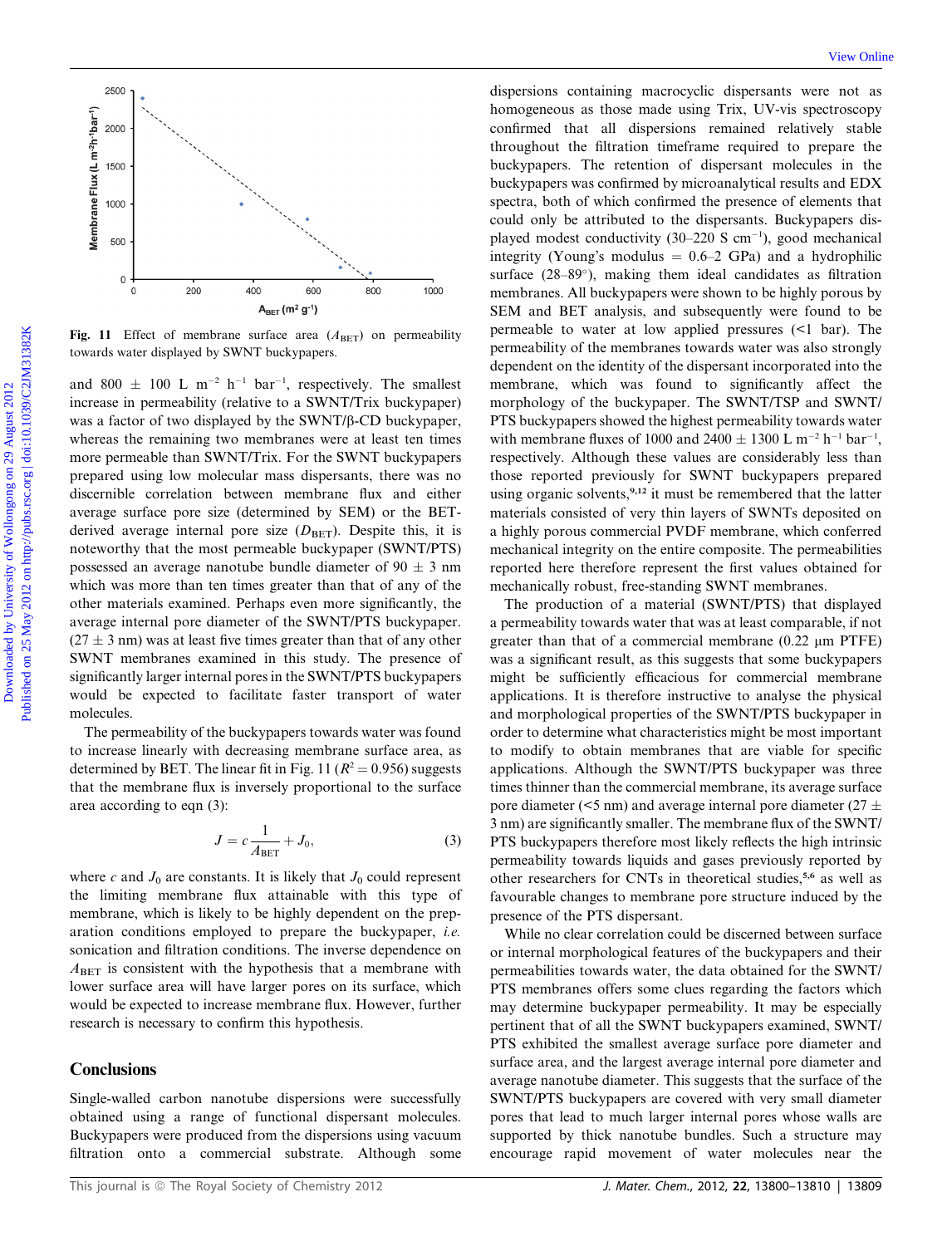

Fig. 11 Effect of membrane surface area  $(A<sub>BET</sub>)$  on permeability towards water displayed by SWNT buckypapers.

and  $800 \pm 100$  L m<sup>-2</sup> h<sup>-1</sup> bar<sup>-1</sup>, respectively. The smallest increase in permeability (relative to a SWNT/Trix buckypaper) was a factor of two displayed by the SWNT/ $\beta$ -CD buckypaper, whereas the remaining two membranes were at least ten times more permeable than SWNT/Trix. For the SWNT buckypapers prepared using low molecular mass dispersants, there was no discernible correlation between membrane flux and either average surface pore size (determined by SEM) or the BETderived average internal pore size  $(D_{\text{BET}})$ . Despite this, it is noteworthy that the most permeable buckypaper (SWNT/PTS) possessed an average nanotube bundle diameter of  $90 \pm 3$  nm which was more than ten times greater than that of any of the other materials examined. Perhaps even more significantly, the average internal pore diameter of the SWNT/PTS buckypaper.  $(27 \pm 3 \text{ nm})$  was at least five times greater than that of any other SWNT membranes examined in this study. The presence of significantly larger internal pores in the SWNT/PTS buckypapers would be expected to facilitate faster transport of water molecules.

The permeability of the buckypapers towards water was found to increase linearly with decreasing membrane surface area, as determined by BET. The linear fit in Fig. 11 ( $R<sup>2</sup> = 0.956$ ) suggests that the membrane flux is inversely proportional to the surface area according to eqn (3):

$$
J = c \frac{1}{A_{\text{BET}}} + J_0,\tag{3}
$$

where c and  $J_0$  are constants. It is likely that  $J_0$  could represent the limiting membrane flux attainable with this type of membrane, which is likely to be highly dependent on the preparation conditions employed to prepare the buckypaper, i.e. sonication and filtration conditions. The inverse dependence on  $A_{\text{BET}}$  is consistent with the hypothesis that a membrane with lower surface area will have larger pores on its surface, which would be expected to increase membrane flux. However, further research is necessary to confirm this hypothesis.

#### **Conclusions**

Single-walled carbon nanotube dispersions were successfully obtained using a range of functional dispersant molecules. Buckypapers were produced from the dispersions using vacuum filtration onto a commercial substrate. Although some

dispersions containing macrocyclic dispersants were not as homogeneous as those made using Trix, UV-vis spectroscopy confirmed that all dispersions remained relatively stable throughout the filtration timeframe required to prepare the buckypapers. The retention of dispersant molecules in the buckypapers was confirmed by microanalytical results and EDX spectra, both of which confirmed the presence of elements that could only be attributed to the dispersants. Buckypapers displayed modest conductivity (30–220 S cm<sup>-1</sup>), good mechanical integrity (Young's modulus  $= 0.6-2$  GPa) and a hydrophilic surface (28–89), making them ideal candidates as filtration membranes. All buckypapers were shown to be highly porous by SEM and BET analysis, and subsequently were found to be permeable to water at low applied pressures (<1 bar). The permeability of the membranes towards water was also strongly dependent on the identity of the dispersant incorporated into the membrane, which was found to significantly affect the morphology of the buckypaper. The SWNT/TSP and SWNT/ PTS buckypapers showed the highest permeability towards water with membrane fluxes of 1000 and  $2400 \pm 1300$  L m<sup>-2</sup> h<sup>-1</sup> bar<sup>-1</sup>, respectively. Although these values are considerably less than those reported previously for SWNT buckypapers prepared using organic solvents,<sup>9,12</sup> it must be remembered that the latter materials consisted of very thin layers of SWNTs deposited on a highly porous commercial PVDF membrane, which conferred mechanical integrity on the entire composite. The permeabilities reported here therefore represent the first values obtained for mechanically robust, free-standing SWNT membranes. **By The control of University of Control of The Control of Wolfgong on 2012** University of the Control of The Control of The Control of The Control of The Control of The Control of The Control of Control of The Control o

The production of a material (SWNT/PTS) that displayed a permeability towards water that was at least comparable, if not greater than that of a commercial membrane  $(0.22 \mu m \text{ PTFE})$ was a significant result, as this suggests that some buckypapers might be sufficiently efficacious for commercial membrane applications. It is therefore instructive to analyse the physical and morphological properties of the SWNT/PTS buckypaper in order to determine what characteristics might be most important to modify to obtain membranes that are viable for specific applications. Although the SWNT/PTS buckypaper was three times thinner than the commercial membrane, its average surface pore diameter ( $\leq$ 5 nm) and average internal pore diameter (27  $\pm$ 3 nm) are significantly smaller. The membrane flux of the SWNT/ PTS buckypapers therefore most likely reflects the high intrinsic permeability towards liquids and gases previously reported by other researchers for CNTs in theoretical studies,<sup>5,6</sup> as well as favourable changes to membrane pore structure induced by the presence of the PTS dispersant.

While no clear correlation could be discerned between surface or internal morphological features of the buckypapers and their permeabilities towards water, the data obtained for the SWNT/ PTS membranes offers some clues regarding the factors which may determine buckypaper permeability. It may be especially pertinent that of all the SWNT buckypapers examined, SWNT/ PTS exhibited the smallest average surface pore diameter and surface area, and the largest average internal pore diameter and average nanotube diameter. This suggests that the surface of the SWNT/PTS buckypapers are covered with very small diameter pores that lead to much larger internal pores whose walls are supported by thick nanotube bundles. Such a structure may encourage rapid movement of water molecules near the